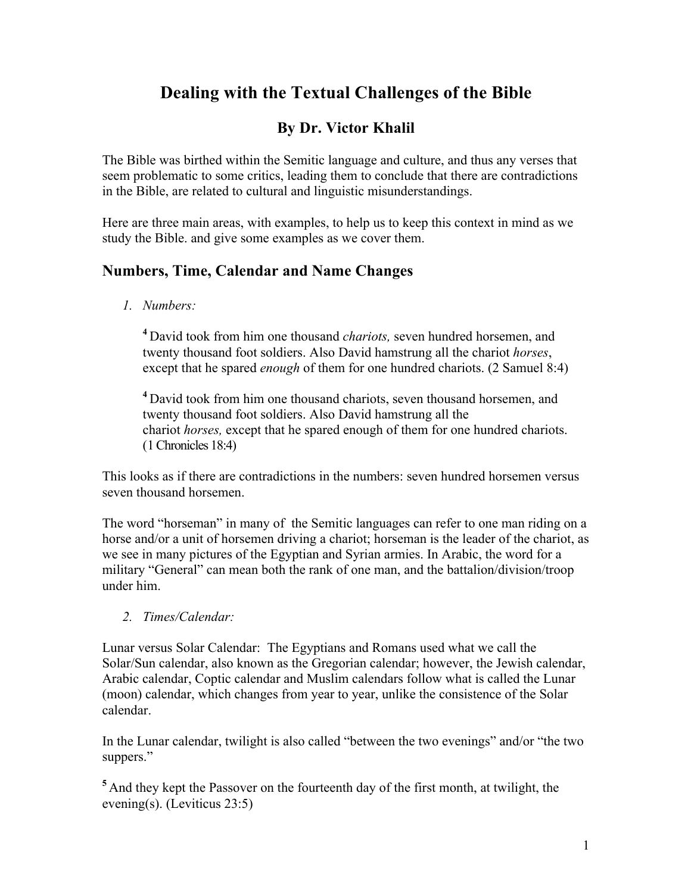# **Dealing with the Textual Challenges of the Bible**

## **By Dr. Victor Khalil**

The Bible was birthed within the Semitic language and culture, and thus any verses that seem problematic to some critics, leading them to conclude that there are contradictions in the Bible, are related to cultural and linguistic misunderstandings.

Here are three main areas, with examples, to help us to keep this context in mind as we study the Bible. and give some examples as we cover them.

### **Numbers, Time, Calendar and Name Changes**

*1. Numbers:*

**<sup>4</sup>** David took from him one thousand *chariots,* seven hundred horsemen, and twenty thousand foot soldiers. Also David hamstrung all the chariot *horses*, except that he spared *enough* of them for one hundred chariots. (2 Samuel 8:4)

**<sup>4</sup>** David took from him one thousand chariots, seven thousand horsemen, and twenty thousand foot soldiers. Also David hamstrung all the chariot *horses,* except that he spared enough of them for one hundred chariots. (1 Chronicles 18:4)

This looks as if there are contradictions in the numbers: seven hundred horsemen versus seven thousand horsemen.

The word "horseman" in many of the Semitic languages can refer to one man riding on a horse and/or a unit of horsemen driving a chariot; horseman is the leader of the chariot, as we see in many pictures of the Egyptian and Syrian armies. In Arabic, the word for a military "General" can mean both the rank of one man, and the battalion/division/troop under him.

*2. Times/Calendar:*

Lunar versus Solar Calendar: The Egyptians and Romans used what we call the Solar/Sun calendar, also known as the Gregorian calendar; however, the Jewish calendar, Arabic calendar, Coptic calendar and Muslim calendars follow what is called the Lunar (moon) calendar, which changes from year to year, unlike the consistence of the Solar calendar.

In the Lunar calendar, twilight is also called "between the two evenings" and/or "the two suppers."

**<sup>5</sup>** And they kept the Passover on the fourteenth day of the first month, at twilight, the evening(s). (Leviticus 23:5)